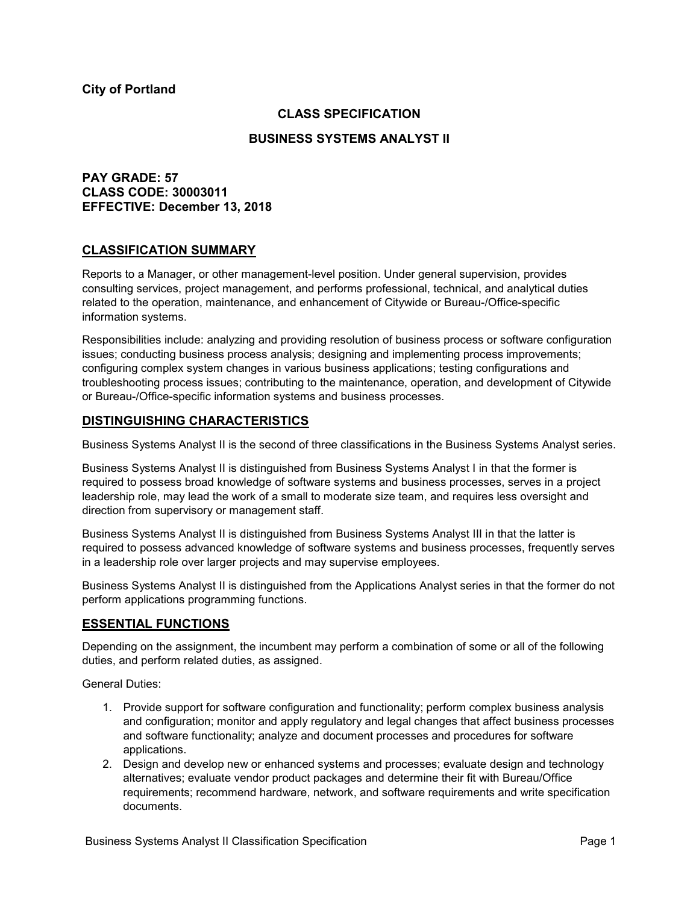### **CLASS SPECIFICATION**

#### **BUSINESS SYSTEMS ANALYST II**

# **PAY GRADE: 57 CLASS CODE: 30003011 EFFECTIVE: December 13, 2018**

### **CLASSIFICATION SUMMARY**

Reports to a Manager, or other management-level position. Under general supervision, provides consulting services, project management, and performs professional, technical, and analytical duties related to the operation, maintenance, and enhancement of Citywide or Bureau-/Office-specific information systems.

Responsibilities include: analyzing and providing resolution of business process or software configuration issues; conducting business process analysis; designing and implementing process improvements; configuring complex system changes in various business applications; testing configurations and troubleshooting process issues; contributing to the maintenance, operation, and development of Citywide or Bureau-/Office-specific information systems and business processes.

#### **DISTINGUISHING CHARACTERISTICS**

Business Systems Analyst II is the second of three classifications in the Business Systems Analyst series.

Business Systems Analyst II is distinguished from Business Systems Analyst I in that the former is required to possess broad knowledge of software systems and business processes, serves in a project leadership role, may lead the work of a small to moderate size team, and requires less oversight and direction from supervisory or management staff.

Business Systems Analyst II is distinguished from Business Systems Analyst III in that the latter is required to possess advanced knowledge of software systems and business processes, frequently serves in a leadership role over larger projects and may supervise employees.

Business Systems Analyst II is distinguished from the Applications Analyst series in that the former do not perform applications programming functions.

### **ESSENTIAL FUNCTIONS**

Depending on the assignment, the incumbent may perform a combination of some or all of the following duties, and perform related duties, as assigned.

General Duties:

- 1. Provide support for software configuration and functionality; perform complex business analysis and configuration; monitor and apply regulatory and legal changes that affect business processes and software functionality; analyze and document processes and procedures for software applications.
- 2. Design and develop new or enhanced systems and processes; evaluate design and technology alternatives; evaluate vendor product packages and determine their fit with Bureau/Office requirements; recommend hardware, network, and software requirements and write specification documents.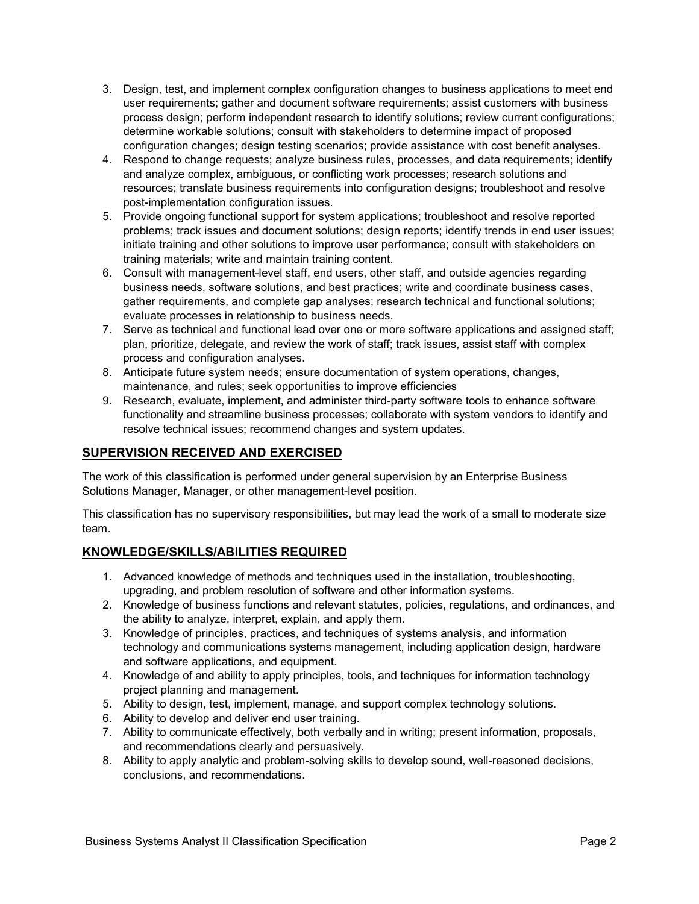- 3. Design, test, and implement complex configuration changes to business applications to meet end user requirements; gather and document software requirements; assist customers with business process design; perform independent research to identify solutions; review current configurations; determine workable solutions; consult with stakeholders to determine impact of proposed configuration changes; design testing scenarios; provide assistance with cost benefit analyses.
- 4. Respond to change requests; analyze business rules, processes, and data requirements; identify and analyze complex, ambiguous, or conflicting work processes; research solutions and resources; translate business requirements into configuration designs; troubleshoot and resolve post-implementation configuration issues.
- 5. Provide ongoing functional support for system applications; troubleshoot and resolve reported problems; track issues and document solutions; design reports; identify trends in end user issues; initiate training and other solutions to improve user performance; consult with stakeholders on training materials; write and maintain training content.
- 6. Consult with management-level staff, end users, other staff, and outside agencies regarding business needs, software solutions, and best practices; write and coordinate business cases, gather requirements, and complete gap analyses; research technical and functional solutions; evaluate processes in relationship to business needs.
- 7. Serve as technical and functional lead over one or more software applications and assigned staff; plan, prioritize, delegate, and review the work of staff; track issues, assist staff with complex process and configuration analyses.
- 8. Anticipate future system needs; ensure documentation of system operations, changes, maintenance, and rules; seek opportunities to improve efficiencies
- 9. Research, evaluate, implement, and administer third-party software tools to enhance software functionality and streamline business processes; collaborate with system vendors to identify and resolve technical issues; recommend changes and system updates.

# **SUPERVISION RECEIVED AND EXERCISED**

The work of this classification is performed under general supervision by an Enterprise Business Solutions Manager, Manager, or other management-level position.

This classification has no supervisory responsibilities, but may lead the work of a small to moderate size team.

# **KNOWLEDGE/SKILLS/ABILITIES REQUIRED**

- 1. Advanced knowledge of methods and techniques used in the installation, troubleshooting, upgrading, and problem resolution of software and other information systems.
- 2. Knowledge of business functions and relevant statutes, policies, regulations, and ordinances, and the ability to analyze, interpret, explain, and apply them.
- 3. Knowledge of principles, practices, and techniques of systems analysis, and information technology and communications systems management, including application design, hardware and software applications, and equipment.
- 4. Knowledge of and ability to apply principles, tools, and techniques for information technology project planning and management.
- 5. Ability to design, test, implement, manage, and support complex technology solutions.
- 6. Ability to develop and deliver end user training.
- 7. Ability to communicate effectively, both verbally and in writing; present information, proposals, and recommendations clearly and persuasively.
- 8. Ability to apply analytic and problem-solving skills to develop sound, well-reasoned decisions, conclusions, and recommendations.